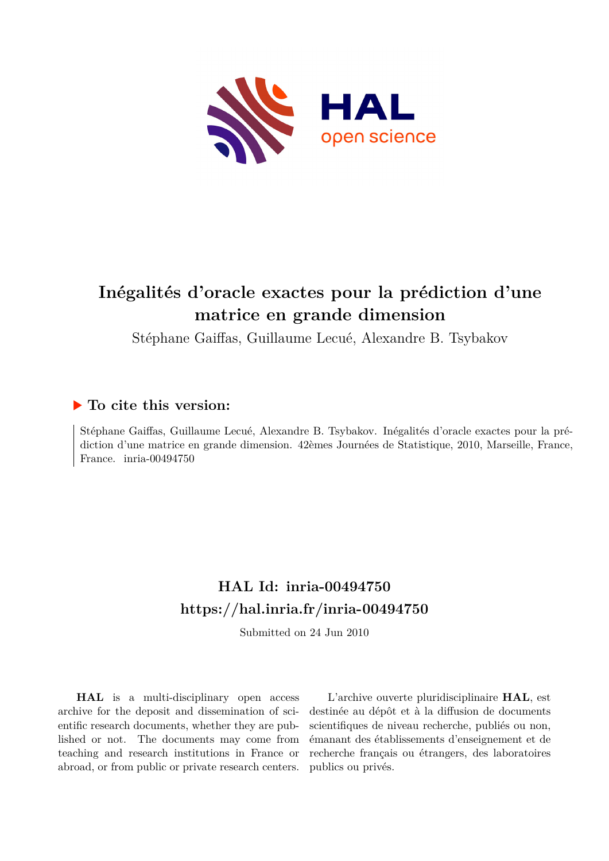

# **Inégalités d'oracle exactes pour la prédiction d'une matrice en grande dimension**

Stéphane Gaiffas, Guillaume Lecué, Alexandre B. Tsybakov

### **To cite this version:**

Stéphane Gaiffas, Guillaume Lecué, Alexandre B. Tsybakov. Inégalités d'oracle exactes pour la prédiction d'une matrice en grande dimension. 42èmes Journées de Statistique, 2010, Marseille, France, France. inria-00494750

## **HAL Id: inria-00494750 <https://hal.inria.fr/inria-00494750>**

Submitted on 24 Jun 2010

**HAL** is a multi-disciplinary open access archive for the deposit and dissemination of scientific research documents, whether they are published or not. The documents may come from teaching and research institutions in France or abroad, or from public or private research centers.

L'archive ouverte pluridisciplinaire **HAL**, est destinée au dépôt et à la diffusion de documents scientifiques de niveau recherche, publiés ou non, émanant des établissements d'enseignement et de recherche français ou étrangers, des laboratoires publics ou privés.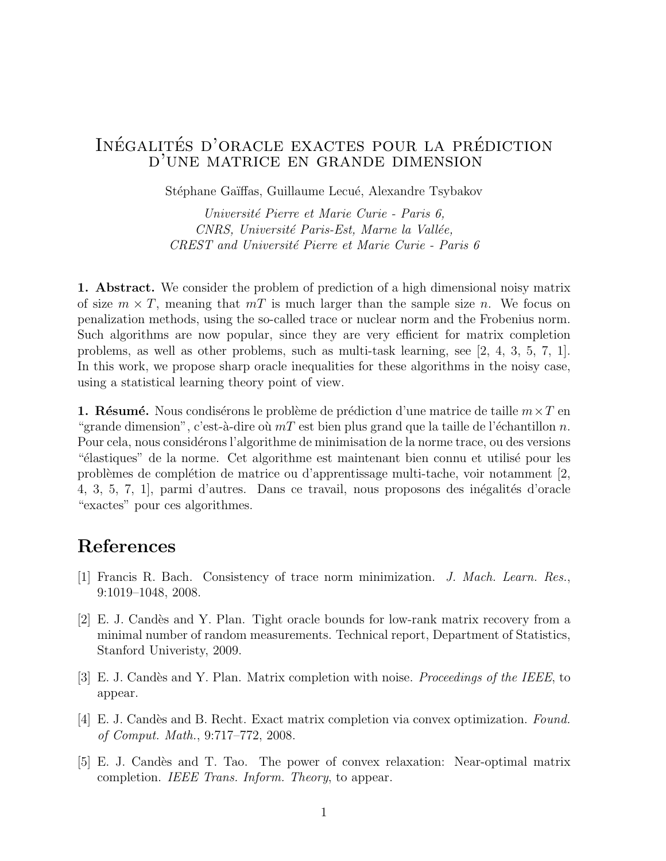### INÉGALITÉS D'ORACLE EXACTES POUR LA PRÉDICTION d'une matrice en grande dimension

Stéphane Gaïffas, Guillaume Lecué, Alexandre Tsybakov

Université Pierre et Marie Curie - Paris 6, CNRS, Université Paris-Est, Marne la Vallée, CREST and Université Pierre et Marie Curie - Paris 6

1. Abstract. We consider the problem of prediction of a high dimensional noisy matrix of size  $m \times T$ , meaning that  $mT$  is much larger than the sample size n. We focus on penalization methods, using the so-called trace or nuclear norm and the Frobenius norm. Such algorithms are now popular, since they are very efficient for matrix completion problems, as well as other problems, such as multi-task learning, see [2, 4, 3, 5, 7, 1]. In this work, we propose sharp oracle inequalities for these algorithms in the noisy case, using a statistical learning theory point of view.

**1. Résumé.** Nous condisérons le problème de prédiction d'une matrice de taille  $m \times T$  en "grande dimension", c'est-à-dire où  $mT$  est bien plus grand que la taille de l'échantillon n. Pour cela, nous considérons l'algorithme de minimisation de la norme trace, ou des versions "
elastiques" de la norme. Cet algorithme est maintenant bien connu et utilisé pour les probl`emes de compl´etion de matrice ou d'apprentissage multi-tache, voir notamment [2, 4, 3, 5, 7, 1, parmi d'autres. Dans ce travail, nous proposons des inégalités d'oracle "exactes" pour ces algorithmes.

#### References

- [1] Francis R. Bach. Consistency of trace norm minimization. J. Mach. Learn. Res., 9:1019–1048, 2008.
- [2] E. J. Cand`es and Y. Plan. Tight oracle bounds for low-rank matrix recovery from a minimal number of random measurements. Technical report, Department of Statistics, Stanford Univeristy, 2009.
- [3] E. J. Candès and Y. Plan. Matrix completion with noise. Proceedings of the IEEE, to appear.
- [4] E. J. Candès and B. Recht. Exact matrix completion via convex optimization. Found. of Comput. Math., 9:717–772, 2008.
- [5] E. J. Cand`es and T. Tao. The power of convex relaxation: Near-optimal matrix completion. IEEE Trans. Inform. Theory, to appear.